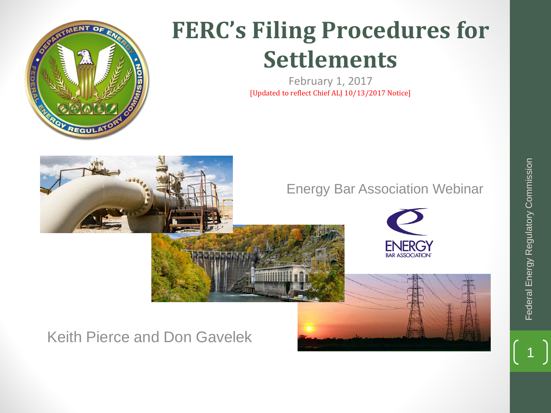

# **FERC's Filing Procedures for Settlements**

February 1, 2017 [Updated to reflect Chief ALJ 10/13/2017 Notice]

### Energy Bar Association Webinar



## Keith Pierce and Don Gavelek

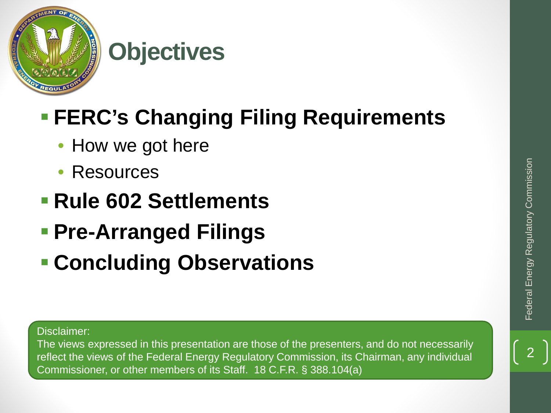

# **Objectives**

## **FERC's Changing Filing Requirements**

- How we got here
- **Resources**
- **Rule 602 Settlements**
- **Pre-Arranged Filings**
- **Concluding Observations**

Disclaimer:

The views expressed in this presentation are those of the presenters, and do not necessarily reflect the views of the Federal Energy Regulatory Commission, its Chairman, any individual Commissioner, or other members of its Staff. 18 C.F.R. § 388.104(a)

2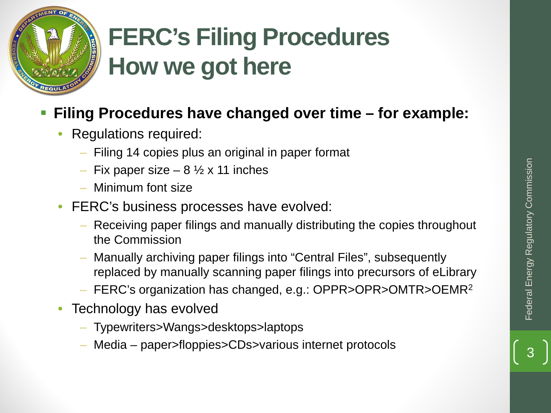

## **Filing Procedures have changed over time – for example:**

- Regulations required:
	- Filing 14 copies plus an original in paper format
	- Fix paper size  $8\frac{1}{2}$  x 11 inches
	- Minimum font size
- FERC's business processes have evolved:
	- Receiving paper filings and manually distributing the copies throughout the Commission
- Manually archiving paper filings into "Central Files", subsequently replaced by manually scanning paper filings into precursors of eLibrary – Fix paper size – 8 1/2 x 11 inches<br>
– Minimum font size<br>
ERC's business processes have evolved:<br>
– Receiving paper filings and manually distributing the copies throughout<br>
the Commission<br>
– Manually archiving paper fili
	- FERC's organization has changed, e.g.: OPPR>OPR>OMTR>OEMR2
- Technology has evolved
	- Typewriters>Wangs>desktops>laptops
	-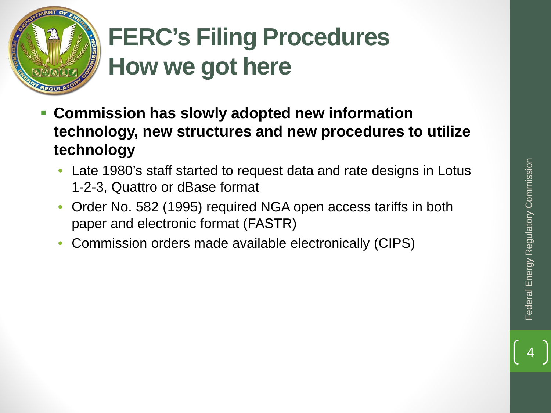

- **Commission has slowly adopted new information technology, new structures and new procedures to utilize technology**
	- Late 1980's staff started to request data and rate designs in Lotus 1-2-3, Quattro or dBase format
	- Order No. 582 (1995) required NGA open access tariffs in both paper and electronic format (FASTR)
	- Commission orders made available electronically (CIPS)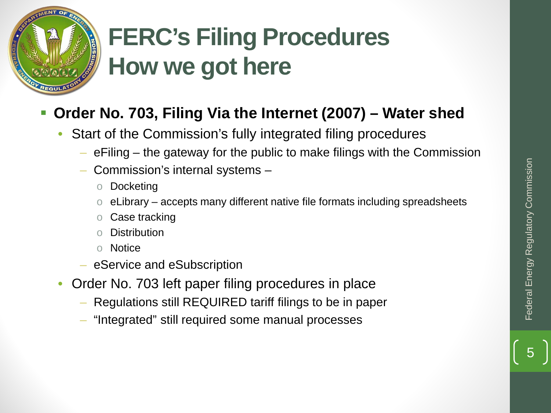

## **Order No. 703, Filing Via the Internet (2007) – Water shed**

- Start of the Commission's fully integrated filing procedures
	- eFiling the gateway for the public to make filings with the Commission
	- Commission's internal systems
		- o Docketing
		- $\circ$  eLibrary accepts many different native file formats including spreadsheets
		- o Case tracking
		- **Distribution**
		- o Notice
	- eService and eSubscription
- Order No. 703 left paper filing procedures in place
	- Regulations still REQUIRED tariff filings to be in paper
	- "Integrated" still required some manual processes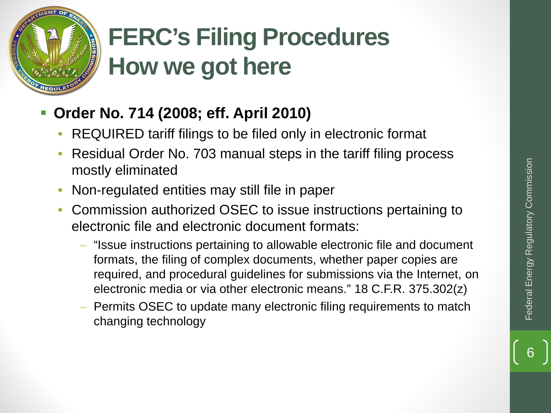

## **Order No. 714 (2008; eff. April 2010)**

- REQUIRED tariff filings to be filed only in electronic format
- Residual Order No. 703 manual steps in the tariff filing process mostly eliminated
- Non-regulated entities may still file in paper
- Commission authorized OSEC to issue instructions pertaining to electronic file and electronic document formats:
	- "Issue instructions pertaining to allowable electronic file and document formats, the filing of complex documents, whether paper copies are required, and procedural guidelines for submissions via the Internet, on electronic media or via other electronic means." 18 C.F.R. 375.302(z)
	- Permits OSEC to update many electronic filing requirements to match changing technology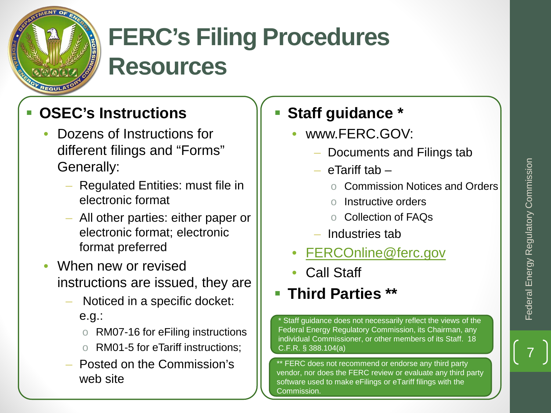

# **FERC's Filing Procedures Resources**

## **OSEC's Instructions**

- Dozens of Instructions for different filings and "Forms" Generally:
	- Regulated Entities: must file in electronic format
	- All other parties: either paper or electronic format; electronic format preferred
- When new or revised instructions are issued, they are
	- Noticed in a specific docket: e.g.:
		- o RM07-16 for eFiling instructions
		- o RM01-5 for eTariff instructions;
	- Posted on the Commission's web site

## **Staff guidance \***

- www.FERC.GOV:
	- Documents and Filings tab
	- eTariff tab
		- o Commission Notices and Orders
		- o Instructive orders
		- o Collection of FAQs
	- Industries tab
- [FERCOnline@ferc.gov](mailto:FERCOnline@ferc.gov)
- Call Staff

## **Third Parties \*\***

\* Staff guidance does not necessarily reflect the views of the Federal Energy Regulatory Commission, its Chairman, any individual Commissioner, or other members of its Staff. 18 C.F.R. § 388.104(a)

\*\* FERC does not recommend or endorse any third party vendor, nor does the FERC review or evaluate any third party software used to make eFilings or eTariff filings with the Commission.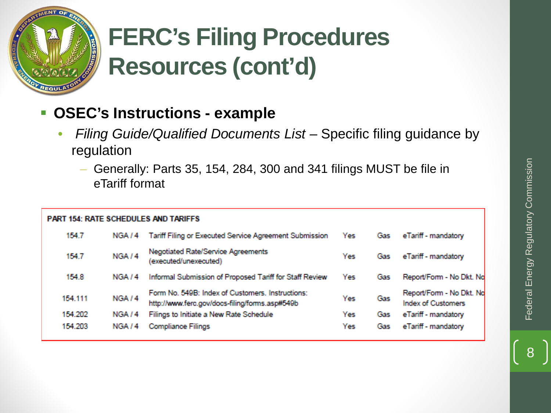

# **FERC's Filing Procedures Resources (cont'd)**

## **OSEC's Instructions - example**

- *Filing Guide/Qualified Documents List*  Specific filing guidance by regulation
	- Generally: Parts 35, 154, 284, 300 and 341 filings MUST be file in eTariff format

#### **PART 154: RATE SCHEDULES AND TARIFFS** 154.7 Tariff Filing or Executed Service Agreement Submission eTariff - mandatory NGA<sub>14</sub> Yes Gas Negotiated Rate/Service Agreements NGA<sub>/4</sub> 154.7 eTariff - mandatory Yes Gas (executed/unexecuted) Informal Submission of Proposed Tariff for Staff Review Report/Form - No Dkt. No 154.8 NGA / 4 Yes Gas Form No. 549B: Index of Customers. Instructions: Report/Form - No Dkt. No 154.111 NGA<sub>/4</sub> Yes Gas http://www.ferc.gov/docs-filing/forms.asp#549b **Index of Customers** Filings to Initiate a New Rate Schedule eTariff - mandatory 154.202 NGA / 4 Yes Gas 154.203 **Compliance Filings** Yes eTariff - mandatory NGA / 4 Gas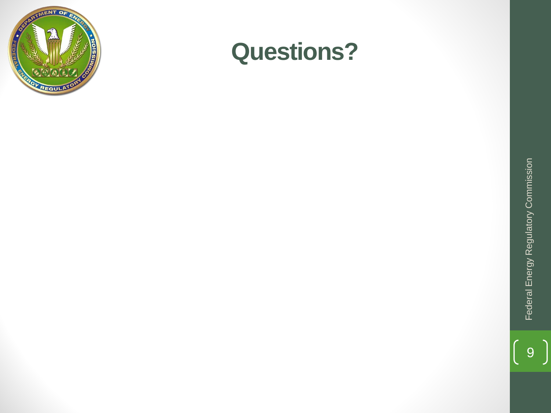

## **Questions?**

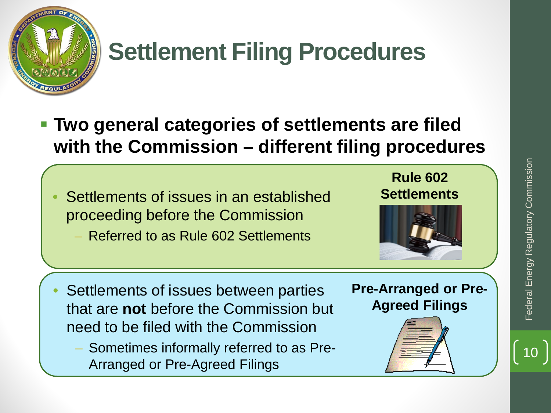

# **Settlement Filing Procedures**

- **Two general categories of settlements are filed with the Commission – different filing procedures**
	- Settlements of issues in an established proceeding before the Commission
		- Referred to as Rule 602 Settlements





- Settlements of issues between parties that are **not** before the Commission but need to be filed with the Commission
	- Sometimes informally referred to as Pre-Arranged or Pre-Agreed Filings

## **Pre-Arranged or Pre-Agreed Filings**

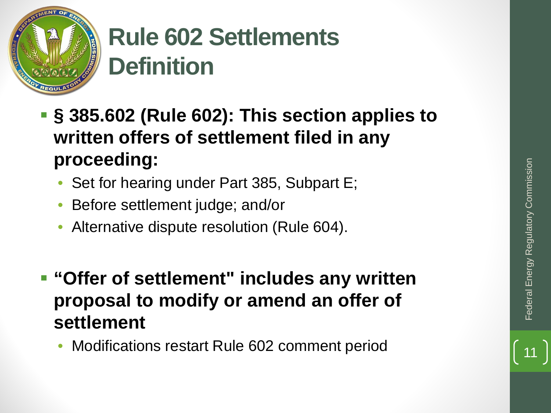

# **Rule 602 Settlements Definition**

- **§ 385.602 (Rule 602): This section applies to written offers of settlement filed in any proceeding:**
	- Set for hearing under Part 385, Subpart E;
	- Before settlement judge; and/or
	- Alternative dispute resolution (Rule 604).
- **"Offer of settlement" includes any written proposal to modify or amend an offer of settlement**  • Set for hearing under Part 385, Subpart E;<br>• Before settlement judge; and/or<br>• Alternative dispute resolution (Rule 604).<br>• **Offer of settlement** " **includes any written**<br>**proposal to modify or amend an offer of**<br>**settle** 
	-

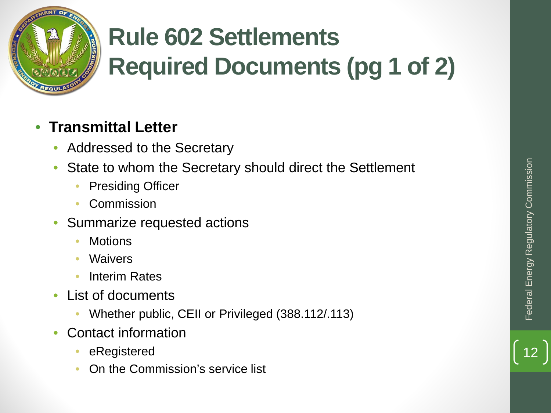

# **Rule 602 Settlements Required Documents (pg 1 of 2)**

## • **Transmittal Letter**

- Addressed to the Secretary
- State to whom the Secretary should direct the Settlement
	- **Presiding Officer**
	- **Commission**
- Summarize requested actions
	- Motions
	- **Waivers**
	- Interim Rates
- List of documents
	- Whether public, CEII or Privileged (388.112/.113)
- Contact information
	- eRegistered
	- On the Commission's service list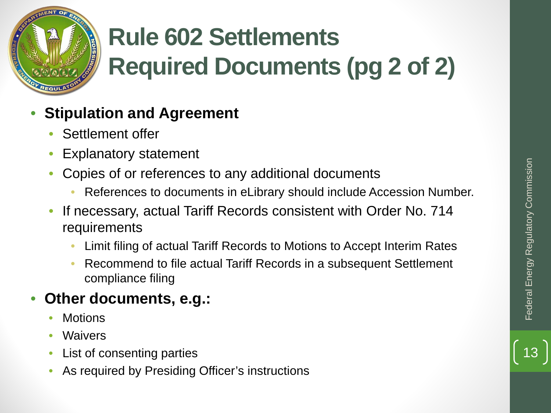

# **Rule 602 Settlements Required Documents (pg 2 of 2)**

## • **Stipulation and Agreement**

- Settlement offer
- Explanatory statement
- Copies of or references to any additional documents
	- References to documents in eLibrary should include Accession Number.
- If necessary, actual Tariff Records consistent with Order No. 714 requirements
	- Limit filing of actual Tariff Records to Motions to Accept Interim Rates
	- Recommend to file actual Tariff Records in a subsequent Settlement compliance filing

## • **Other documents, e.g.:**

- **Motions**
- **Waivers**
- List of consenting parties
- As required by Presiding Officer's instructions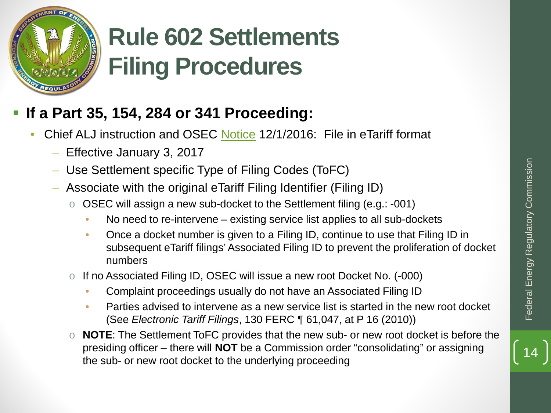

# **Rule 602 Settlements Filing Procedures**

## **If a Part 35, 154, 284 or 341 Proceeding:**

- Chief ALJ instruction and OSEC [Notice](http://elibrary.ferc.gov/idmws/common/OpenNat.asp?fileID=14414167) 12/1/2016: File in eTariff format
	- Effective January 3, 2017
	- Use Settlement specific Type of Filing Codes (ToFC)
	- Associate with the original eTariff Filing Identifier (Filing ID)
		- o OSEC will assign a new sub-docket to the Settlement filing (e.g.: -001)
			- No need to re-intervene existing service list applies to all sub-dockets
- Once a docket number is given to a Filing ID, continue to use that Filing ID in subsequent eTariff filings' Associated Filing ID to prevent the proliferation of docket numbers Example of Filing Codes (ToFC)<br>
Sociate with the original eTariff Filing Identifier (Filing ID)<br>
OSEC will assign a new sub-docket to the Settlement filing (e.g.: -001)<br>
• No need to re-intervene – existing service list ap
	- o If no Associated Filing ID, OSEC will issue a new root Docket No. (-000)
		- Complaint proceedings usually do not have an Associated Filing ID
		- Parties advised to intervene as a new service list is started in the new root docket (See *Electronic Tariff Filings*, 130 FERC ¶ 61,047, at P 16 (2010))
	- o **NOTE**: The Settlement ToFC provides that the new sub- or new root docket is before the presiding officer – there will **NOT** be a Commission order "consolidating" or assigning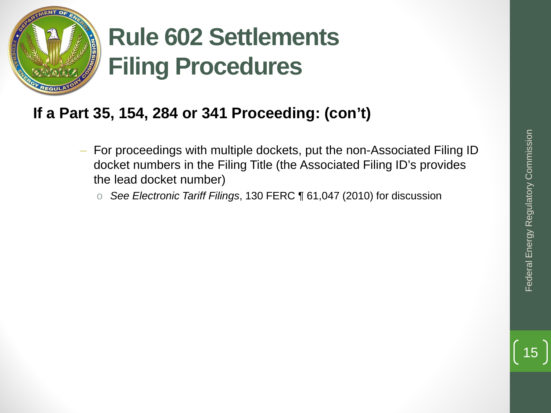

# **Rule 602 Settlements Filing Procedures**

## **If a Part 35, 154, 284 or 341 Proceeding: (con't)**

- For proceedings with multiple dockets, put the non-Associated Filing ID docket numbers in the Filing Title (the Associated Filing ID's provides the lead docket number)
	- o *See Electronic Tariff Filings*, 130 FERC ¶ 61,047 (2010) for discussion

15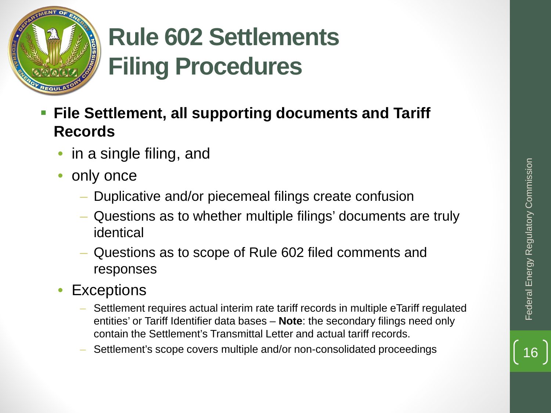



# **Rule 602 Settlements Filing Procedures**

- **File Settlement, all supporting documents and Tariff Records**
	- in a single filing, and
	- only once
		- Duplicative and/or piecemeal filings create confusion
		- Questions as to whether multiple filings' documents are truly identical
		- Questions as to scope of Rule 602 filed comments and responses
	- **Exceptions**
- Settlement requires actual interim rate tariff records in multiple eTariff regulated entities' or Tariff Identifier data bases – **Note**: the secondary filings need only contain the Settlement's Transmittal Letter and actual tariff records. Frame of the Complicative and/or piecemeal filings create confusion<br>
- Questions as to whether multiple filings' documents are truly<br>
identical<br>
- Questions as to scope of Rule 602 filed comments and<br>
responses<br>
XCeptions<br>
	-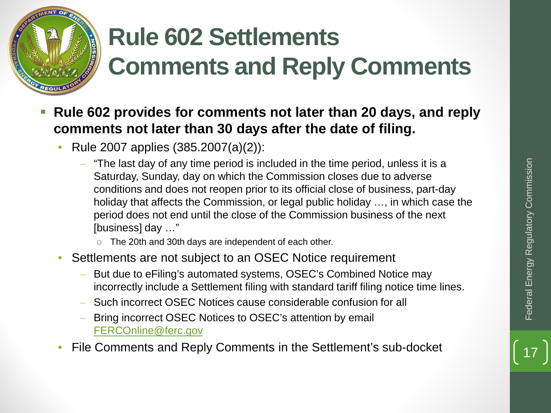

# **Rule 602 Settlements Comments and Reply Comments**

- **Rule 602 provides for comments not later than 20 days, and reply comments not later than 30 days after the date of filing.**
	- Rule 2007 applies (385.2007(a)(2)):
	- "The last day of any time period is included in the time period, unless it is a Saturday, Sunday, day on which the Commission closes due to adverse conditions and does not reopen prior to its official close of business, part-day holiday that affects the Commission, or legal public holiday …, in which case the period does not end until the close of the Commission business of the next [business] day …" • The last day of any time period is included in the time period, unless it is a<br>
	Saturday, Sunday, day on which the Commission closes due to adverse<br>
	conditions and does not reopen prior to its official close of busine
		- o The 20th and 30th days are independent of each other.
	- Settlements are not subject to an OSEC Notice requirement
		- But due to eFiling's automated systems, OSEC's Combined Notice may incorrectly include a Settlement filing with standard tariff filing notice time lines.
		- Such incorrect OSEC Notices cause considerable confusion for all
		- Bring incorrect OSEC Notices to OSEC's attention by email [FERCOnline@ferc.gov](mailto:FERCOnline@ferc.gov)
	-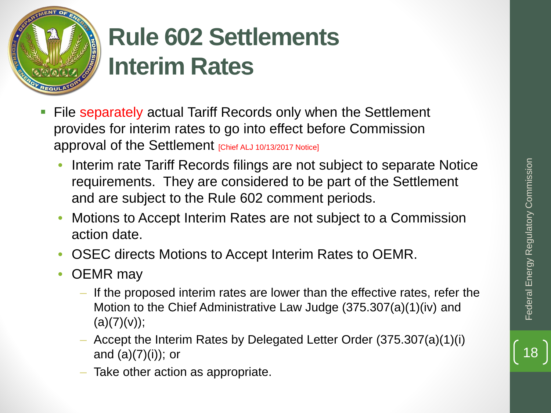

# **Rule 602 Settlements Interim Rates**

- **File separately actual Tariff Records only when the Settlement** provides for interim rates to go into effect before Commission approval of the Settlement [Chief ALJ 10/13/2017 Notice]
	- Interim rate Tariff Records filings are not subject to separate Notice requirements. They are considered to be part of the Settlement and are subject to the Rule 602 comment periods.
	- Motions to Accept Interim Rates are not subject to a Commission action date.
	- OSEC directs Motions to Accept Interim Rates to OEMR.
	- OEMR may
		- If the proposed interim rates are lower than the effective rates, refer the Motion to the Chief Administrative Law Judge (375.307(a)(1)(iv) and  $(a)(7)(v));$
		- Accept the Interim Rates by Delegated Letter Order (375.307(a)(1)(i) and  $(a)(7)(i)$ ; or
		- Take other action as appropriate.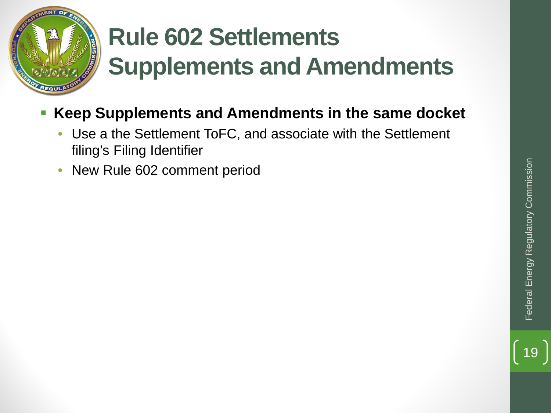

# **Rule 602 Settlements Supplements and Amendments**

- **Keep Supplements and Amendments in the same docket** 
	- Use a the Settlement ToFC, and associate with the Settlement filing's Filing Identifier
	- New Rule 602 comment period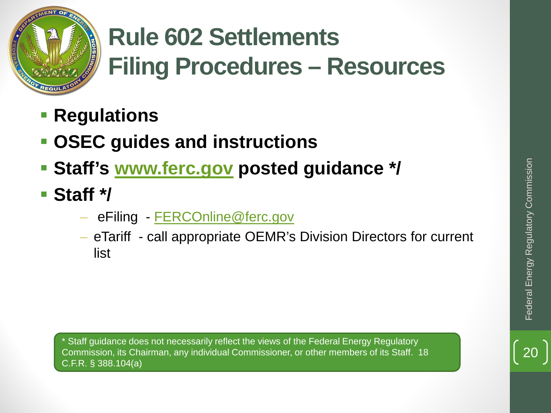

# **Rule 602 Settlements Filing Procedures – Resources**

- **Regulations**
- **OSEC guides and instructions**
- **Staff's [www.ferc.gov](http://www.ferc.gov/) posted guidance \*/**
- **Staff \*/**
	- eFiling [FERCOnline@ferc.gov](mailto:FERCOnline@ferc.gov)
	- eTariff call appropriate OEMR's Division Directors for current list

Staff quidance does not necessarily reflect the views of the Federal Energy Regulatory Commission, its Chairman, any individual Commissioner, or other members of its Staff. 18 C.F.R. § 388.104(a)

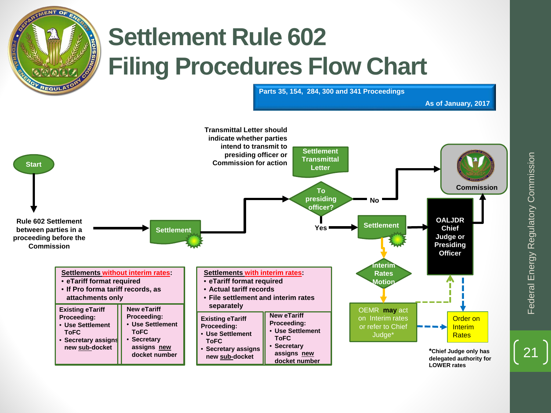

# **Settlement Rule 602 Filing Procedures Flow Chart**

**Parts 35, 154, 284, 300 and 341 Proceedings**



Federal Energy Regulatory Commission Federal Energy Regulatory Commission

21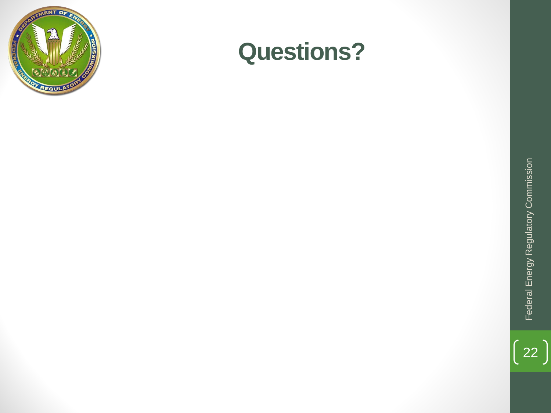

## **Questions?**

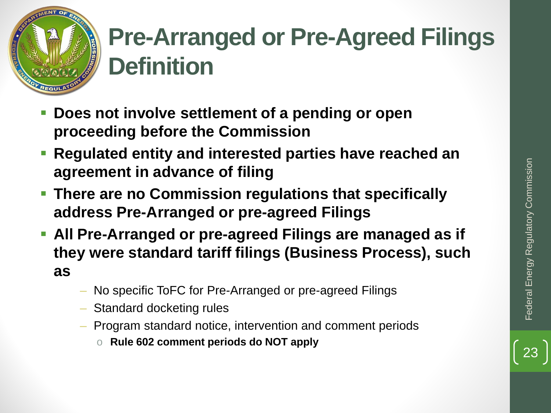

# **Pre-Arranged or Pre-Agreed Filings Definition**

- **Does not involve settlement of a pending or open proceeding before the Commission**
- **Regulated entity and interested parties have reached an agreement in advance of filing**
- **There are no Commission regulations that specifically address Pre-Arranged or pre-agreed Filings**
- **All Pre-Arranged or pre-agreed Filings are managed as if they were standard tariff filings (Business Process), such as**
	- No specific ToFC for Pre-Arranged or pre-agreed Filings
	- Standard docketing rules
	- Program standard notice, intervention and comment periods
		- o **Rule 602 comment periods do NOT apply**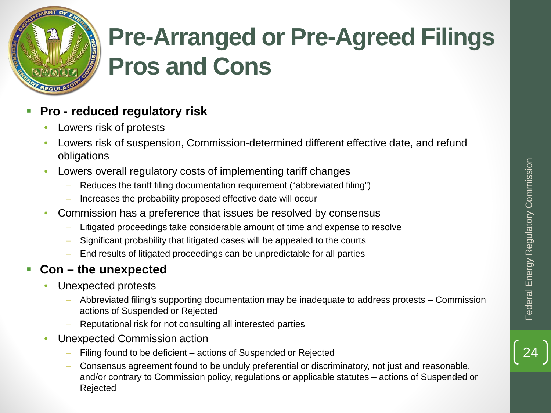

# **Pre-Arranged or Pre-Agreed Filings Pros and Cons**

#### **Pro - reduced regulatory risk**

- Lowers risk of protests
- Lowers risk of suspension, Commission-determined different effective date, and refund obligations
- Lowers overall regulatory costs of implementing tariff changes
	- Reduces the tariff filing documentation requirement ("abbreviated filing")
	- Increases the probability proposed effective date will occur
- Commission has a preference that issues be resolved by consensus
	- Litigated proceedings take considerable amount of time and expense to resolve
	- Significant probability that litigated cases will be appealed to the courts
	- End results of litigated proceedings can be unpredictable for all parties

#### **Con – the unexpected**

- Unexpected protests
	- Abbreviated filing's supporting documentation may be inadequate to address protests Commission actions of Suspended or Rejected
	- Reputational risk for not consulting all interested parties
- Unexpected Commission action
	- Filing found to be deficient actions of Suspended or Rejected
	- Consensus agreement found to be unduly preferential or discriminatory, not just and reasonable, and/or contrary to Commission policy, regulations or applicable statutes – actions of Suspended or Rejected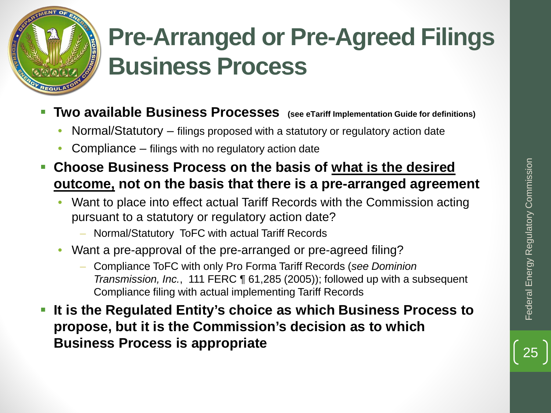

# **Pre-Arranged or Pre-Agreed Filings Business Process**

- **Two available Business Processes (see eTariff Implementation Guide for definitions)**
	- Normal/Statutory filings proposed with a statutory or regulatory action date
	- Compliance filings with no regulatory action date
- **Choose Business Process on the basis of what is the desired outcome, not on the basis that there is a pre-arranged agreement**
	- Want to place into effect actual Tariff Records with the Commission acting pursuant to a statutory or regulatory action date?
		- Normal/Statutory ToFC with actual Tariff Records
	- Want a pre-approval of the pre-arranged or pre-agreed filing?
		- Compliance ToFC with only Pro Forma Tariff Records (*see Dominion Transmission, Inc.*, 111 FERC ¶ 61,285 (2005)); followed up with a subsequent Compliance filing with actual implementing Tariff Records
- **It is the Regulated Entity's choice as which Business Process to propose, but it is the Commission's decision as to which Choose Business Process on the basis of <u>what is the desired</u><br>
outcome, not on the basis that there is a pre-arranged agreement<br>
• Want to place into effect actual Tariff Records with the Commission acting<br>
pursuant to a**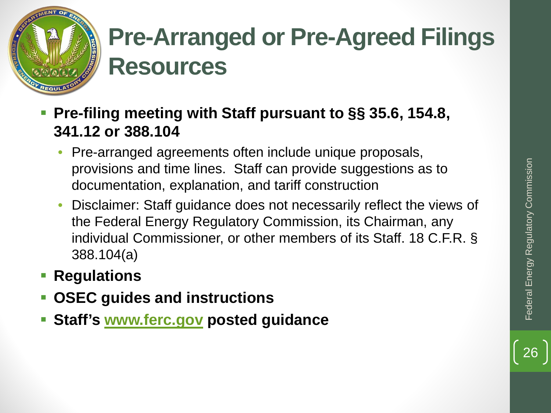

# **Pre-Arranged or Pre-Agreed Filings Resources**

- **Pre-filing meeting with Staff pursuant to §§ 35.6, 154.8, 341.12 or 388.104**
	- Pre-arranged agreements often include unique proposals, provisions and time lines. Staff can provide suggestions as to documentation, explanation, and tariff construction
	- Disclaimer: Staff guidance does not necessarily reflect the views of the Federal Energy Regulatory Commission, its Chairman, any individual Commissioner, or other members of its Staff. 18 C.F.R. § 388.104(a)
- **Regulations**
- **OSEC guides and instructions**
- **Staff's [www.ferc.gov](http://www.ferc.gov/) posted guidance**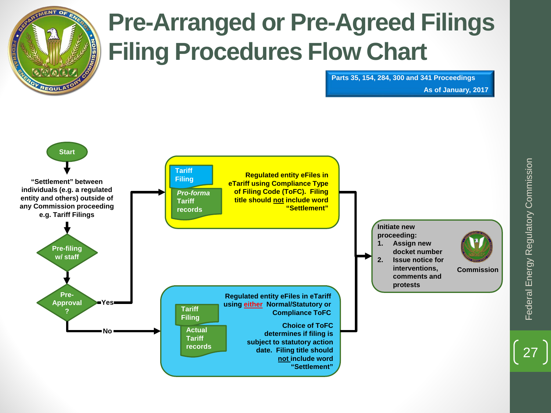

# **Pre-Arranged or Pre-Agreed Filings Filing Procedures Flow Chart**

**Parts 35, 154, 284, 300 and 341 Proceedings**

#### **As of January, 2017**



27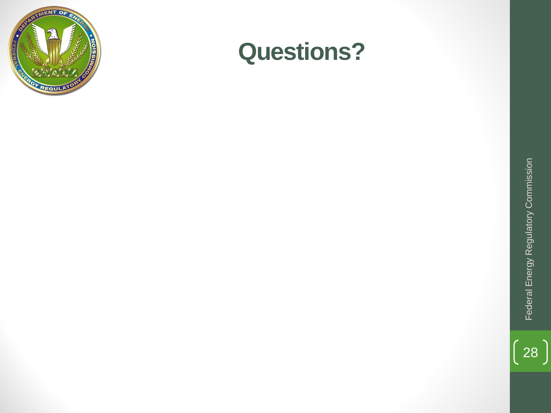

## **Questions?**

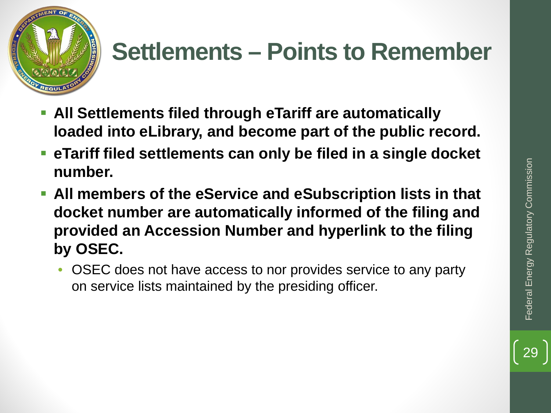

- **All Settlements filed through eTariff are automatically loaded into eLibrary, and become part of the public record.**
- **eTariff filed settlements can only be filed in a single docket number.**
- **All members of the eService and eSubscription lists in that docket number are automatically informed of the filing and provided an Accession Number and hyperlink to the filing by OSEC.** 
	- OSEC does not have access to nor provides service to any party on service lists maintained by the presiding officer.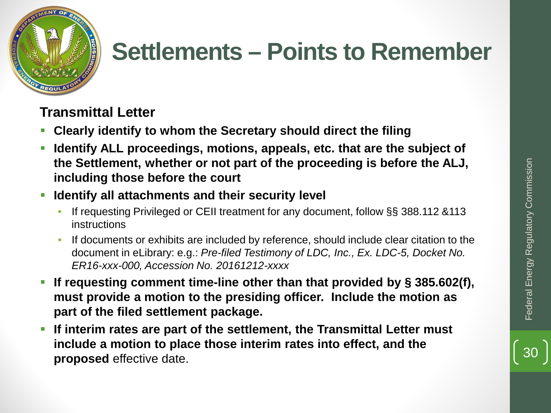

## **Transmittal Letter**

- **Clearly identify to whom the Secretary should direct the filing**
- **Identify ALL proceedings, motions, appeals, etc. that are the subject of the Settlement, whether or not part of the proceeding is before the ALJ, including those before the court**
- **If Identify all attachments and their security level** 
	- If requesting Privileged or CEII treatment for any document, follow §§ 388.112 &113 instructions
	- If documents or exhibits are included by reference, should include clear citation to the document in eLibrary: e.g.: *Pre-filed Testimony of LDC, Inc., Ex. LDC-5, Docket No. ER16-xxx-000, Accession No. 20161212-xxxx*
- **If requesting comment time-line other than that provided by § 385.602(f), must provide a motion to the presiding officer. Include the motion as part of the filed settlement package. proposed atternet, whether or not part of the proceeding is before the ALJ,**<br> **proposed in the court**<br> **proposed is a standard atternet in the security level**<br> **effective data Commission CEII treatment for any document, f**
- **If interim rates are part of the settlement, the Transmittal Letter must include a motion to place those interim rates into effect, and the**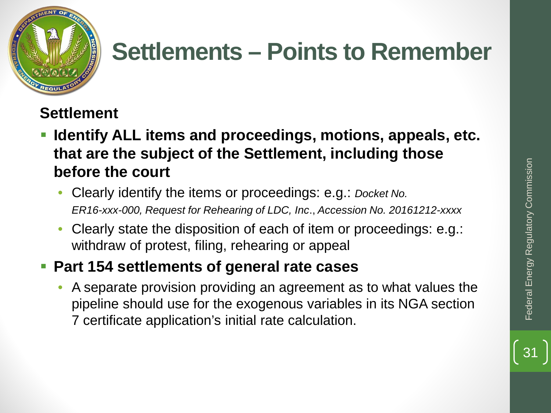

## **Settlement**

- **Identify ALL items and proceedings, motions, appeals, etc. that are the subject of the Settlement, including those before the court**
	- Clearly identify the items or proceedings: e.g.: *Docket No. ER16-xxx-000, Request for Rehearing of LDC, Inc*., *Accession No. 20161212-xxxx*
	- Clearly state the disposition of each of item or proceedings: e.g.: withdraw of protest, filing, rehearing or appeal

## **Part 154 settlements of general rate cases**

• A separate provision providing an agreement as to what values the pipeline should use for the exogenous variables in its NGA section 7 certificate application's initial rate calculation.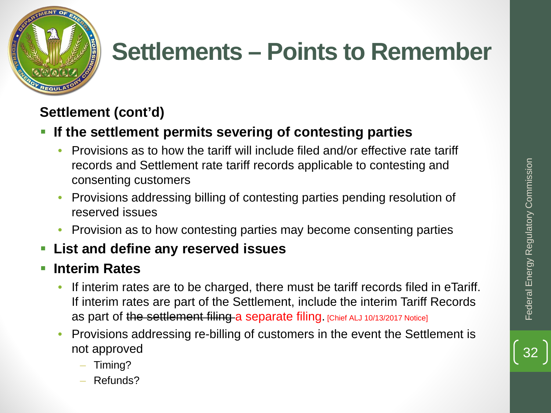



## **Settlement (cont'd)**

## **If the settlement permits severing of contesting parties**

- Provisions as to how the tariff will include filed and/or effective rate tariff records and Settlement rate tariff records applicable to contesting and consenting customers
- Provisions addressing billing of contesting parties pending resolution of reserved issues
- Provision as to how contesting parties may become consenting parties

## **List and define any reserved issues**

## **Interim Rates**

- If interim rates are to be charged, there must be tariff records filed in eTariff. If interim rates are part of the Settlement, include the interim Tariff Records as part of the settlement filing a separate filing. [Chief ALJ 10/13/2017 Notice]
- Provisions addressing re-billing of customers in the event the Settlement is not approved
	- Timing?
	- Refunds?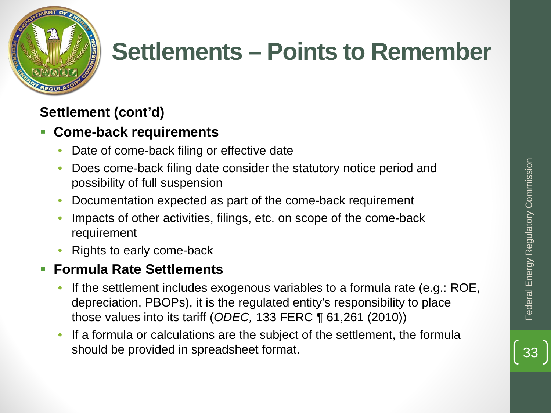



## **Settlement (cont'd)**

## **Come-back requirements**

- Date of come-back filing or effective date
- Does come-back filing date consider the statutory notice period and possibility of full suspension
- Documentation expected as part of the come-back requirement
- Impacts of other activities, filings, etc. on scope of the come-back requirement
- Rights to early come-back

## **Formula Rate Settlements**

- If the settlement includes exogenous variables to a formula rate (e.g.: ROE, depreciation, PBOPs), it is the regulated entity's responsibility to place those values into its tariff (*ODEC,* 133 FERC ¶ 61,261 (2010)) Does come-back filing date consider the statutory notice period and<br>
possibility of full suspension<br>
Documentation expected as part of the come-back requirement<br>
Impacts of other activities, filings, etc. on scope of the c
- If a formula or calculations are the subject of the settlement, the formula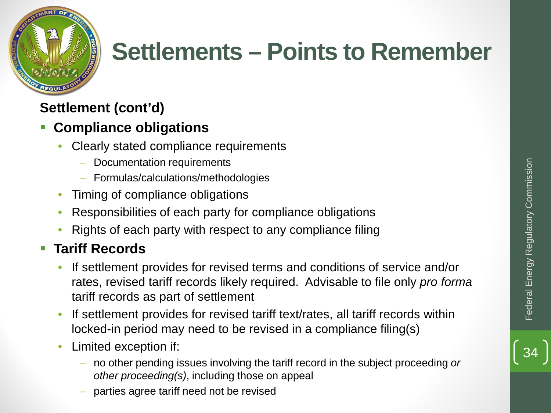

## **Settlement (cont'd)**

## **Compliance obligations**

- Clearly stated compliance requirements
	- Documentation requirements
	- Formulas/calculations/methodologies
- Timing of compliance obligations
- Responsibilities of each party for compliance obligations
- Rights of each party with respect to any compliance filing

## **Tariff Records**

- If settlement provides for revised terms and conditions of service and/or rates, revised tariff records likely required. Advisable to file only *pro forma* tariff records as part of settlement
- If settlement provides for revised tariff text/rates, all tariff records within locked-in period may need to be revised in a compliance filing(s)
- Limited exception if:
	- no other pending issues involving the tariff record in the subject proceeding *or other proceeding(s)*, including those on appeal
	- parties agree tariff need not be revised

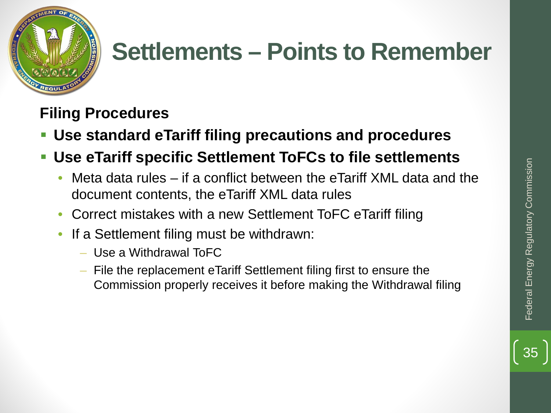



**Filing Procedures**

- **Use standard eTariff filing precautions and procedures**
- **Use eTariff specific Settlement ToFCs to file settlements**
	- Meta data rules if a conflict between the eTariff XML data and the document contents, the eTariff XML data rules
	- Correct mistakes with a new Settlement ToFC eTariff filing
	- If a Settlement filing must be withdrawn:
		- Use a Withdrawal ToFC
		- File the replacement eTariff Settlement filing first to ensure the Commission properly receives it before making the Withdrawal filing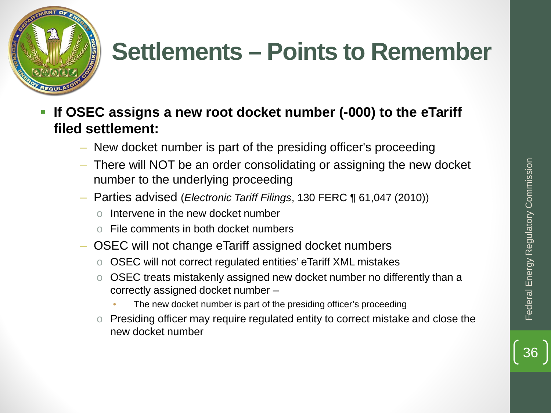

- **If OSEC assigns a new root docket number (-000) to the eTariff filed settlement:**
	- New docket number is part of the presiding officer's proceeding
	- There will NOT be an order consolidating or assigning the new docket number to the underlying proceeding
	- Parties advised (*Electronic Tariff Filings*, 130 FERC ¶ 61,047 (2010))
		- Intervene in the new docket number
		- File comments in both docket numbers
	- OSEC will not change eTariff assigned docket numbers
		- o OSEC will not correct regulated entities' eTariff XML mistakes
		- o OSEC treats mistakenly assigned new docket number no differently than a correctly assigned docket number –
			- The new docket number is part of the presiding officer's proceeding
		- o Presiding officer may require regulated entity to correct mistake and close the new docket number